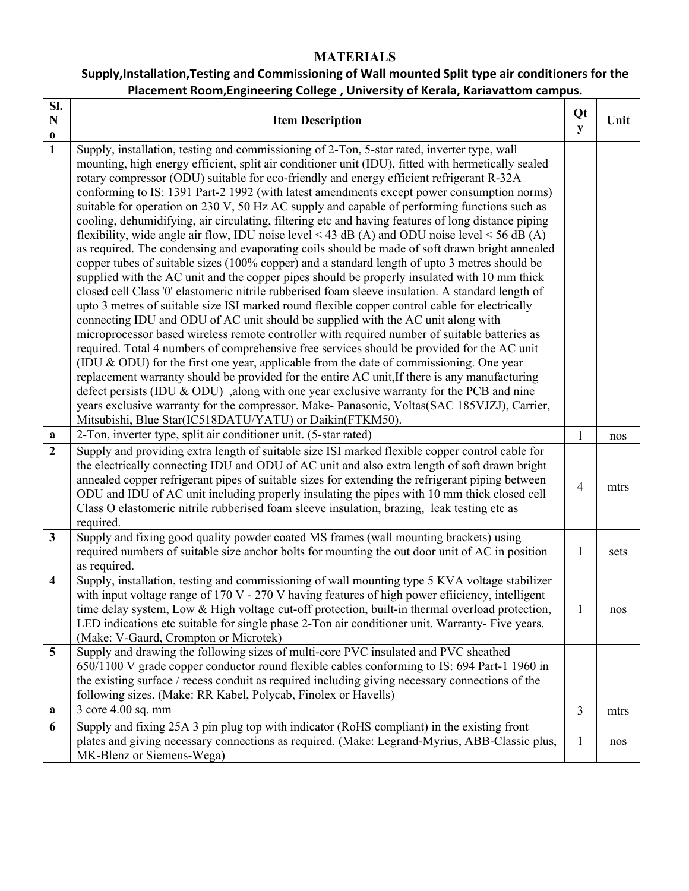# **MATERIALS**

# **Supply,Installation,Testing and Commissioning of Wall mounted Split type air conditioners for the Placement Room,Engineering College , University of Kerala, Kariavattom campus.**

| Sl.<br>$\mathbf N$          | <b>Item Description</b>                                                                                                                                                                                                                                                                                                                                                                                                                                                                                                                                                                                                                                                                                                                                                                    | Qt<br>${\bf y}$ | Unit |
|-----------------------------|--------------------------------------------------------------------------------------------------------------------------------------------------------------------------------------------------------------------------------------------------------------------------------------------------------------------------------------------------------------------------------------------------------------------------------------------------------------------------------------------------------------------------------------------------------------------------------------------------------------------------------------------------------------------------------------------------------------------------------------------------------------------------------------------|-----------------|------|
| $\mathbf 0$<br>$\mathbf{1}$ | Supply, installation, testing and commissioning of 2-Ton, 5-star rated, inverter type, wall<br>mounting, high energy efficient, split air conditioner unit (IDU), fitted with hermetically sealed<br>rotary compressor (ODU) suitable for eco-friendly and energy efficient refrigerant R-32A<br>conforming to IS: 1391 Part-2 1992 (with latest amendments except power consumption norms)<br>suitable for operation on 230 V, 50 Hz AC supply and capable of performing functions such as<br>cooling, dehumidifying, air circulating, filtering etc and having features of long distance piping<br>flexibility, wide angle air flow, IDU noise level < 43 dB (A) and ODU noise level < 56 dB (A)                                                                                         |                 |      |
|                             | as required. The condensing and evaporating coils should be made of soft drawn bright annealed<br>copper tubes of suitable sizes (100% copper) and a standard length of upto 3 metres should be<br>supplied with the AC unit and the copper pipes should be properly insulated with 10 mm thick<br>closed cell Class '0' elastomeric nitrile rubberised foam sleeve insulation. A standard length of<br>upto 3 metres of suitable size ISI marked round flexible copper control cable for electrically<br>connecting IDU and ODU of AC unit should be supplied with the AC unit along with<br>microprocessor based wireless remote controller with required number of suitable batteries as<br>required. Total 4 numbers of comprehensive free services should be provided for the AC unit |                 |      |
|                             | (IDU $\&$ ODU) for the first one year, applicable from the date of commissioning. One year<br>replacement warranty should be provided for the entire AC unit, If there is any manufacturing<br>defect persists (IDU & ODU), along with one year exclusive warranty for the PCB and nine<br>years exclusive warranty for the compressor. Make- Panasonic, Voltas(SAC 185VJZJ), Carrier,<br>Mitsubishi, Blue Star(IC518DATU/YATU) or Daikin(FTKM50).                                                                                                                                                                                                                                                                                                                                         |                 |      |
| $\mathbf a$                 | 2-Ton, inverter type, split air conditioner unit. (5-star rated)                                                                                                                                                                                                                                                                                                                                                                                                                                                                                                                                                                                                                                                                                                                           | $\mathbf{1}$    | nos  |
| $\boldsymbol{2}$            | Supply and providing extra length of suitable size ISI marked flexible copper control cable for<br>the electrically connecting IDU and ODU of AC unit and also extra length of soft drawn bright<br>annealed copper refrigerant pipes of suitable sizes for extending the refrigerant piping between<br>ODU and IDU of AC unit including properly insulating the pipes with 10 mm thick closed cell<br>Class O elastomeric nitrile rubberised foam sleeve insulation, brazing, leak testing etc as<br>required.                                                                                                                                                                                                                                                                            | $\overline{4}$  | mtrs |
| $\mathbf{3}$                | Supply and fixing good quality powder coated MS frames (wall mounting brackets) using<br>required numbers of suitable size anchor bolts for mounting the out door unit of AC in position<br>as required.                                                                                                                                                                                                                                                                                                                                                                                                                                                                                                                                                                                   | 1               | sets |
| $\overline{\mathbf{4}}$     | Supply, installation, testing and commissioning of wall mounting type 5 KVA voltage stabilizer<br>with input voltage range of 170 V - 270 V having features of high power efficiency, intelligent<br>time delay system, Low & High voltage cut-off protection, built-in thermal overload protection,<br>LED indications etc suitable for single phase 2-Ton air conditioner unit. Warranty- Five years.<br>(Make: V-Gaurd, Crompton or Microtek)                                                                                                                                                                                                                                                                                                                                           | 1               | nos  |
| 5                           | Supply and drawing the following sizes of multi-core PVC insulated and PVC sheathed<br>650/1100 V grade copper conductor round flexible cables conforming to IS: 694 Part-1 1960 in<br>the existing surface / recess conduit as required including giving necessary connections of the<br>following sizes. (Make: RR Kabel, Polycab, Finolex or Havells)                                                                                                                                                                                                                                                                                                                                                                                                                                   |                 |      |
| a                           | 3 core 4.00 sq. mm                                                                                                                                                                                                                                                                                                                                                                                                                                                                                                                                                                                                                                                                                                                                                                         | $\overline{3}$  | mtrs |
| 6                           | Supply and fixing 25A 3 pin plug top with indicator (RoHS compliant) in the existing front<br>plates and giving necessary connections as required. (Make: Legrand-Myrius, ABB-Classic plus,<br>MK-Blenz or Siemens-Wega)                                                                                                                                                                                                                                                                                                                                                                                                                                                                                                                                                                   | 1               | nos  |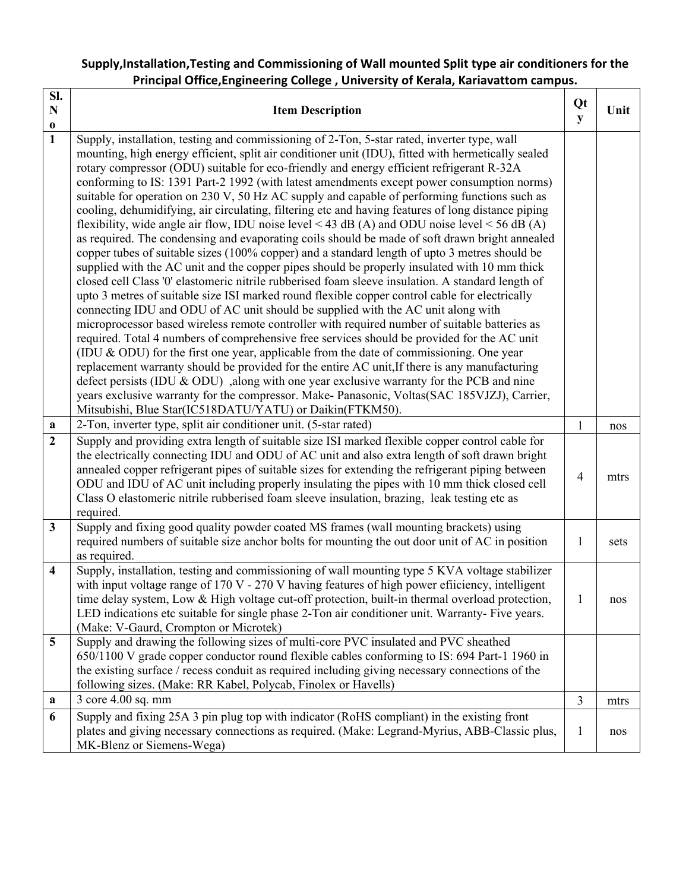## **Supply,Installation,Testing and Commissioning of Wall mounted Split type air conditioners for the Principal Office,Engineering College , University of Kerala, Kariavattom campus.**

| Sl.<br>$\mathbf N$          | <b>Item Description</b>                                                                                                                                                                                                                                                                                                                                                                                                                                                                                                                                                                                                                                                                                                                                                                                                                                                                                                                                                                                                                                                                                                                                                                                                                                                                                                                                                                                                                                                                                                                                                                          | Qt<br>${\bf y}$ | Unit |
|-----------------------------|--------------------------------------------------------------------------------------------------------------------------------------------------------------------------------------------------------------------------------------------------------------------------------------------------------------------------------------------------------------------------------------------------------------------------------------------------------------------------------------------------------------------------------------------------------------------------------------------------------------------------------------------------------------------------------------------------------------------------------------------------------------------------------------------------------------------------------------------------------------------------------------------------------------------------------------------------------------------------------------------------------------------------------------------------------------------------------------------------------------------------------------------------------------------------------------------------------------------------------------------------------------------------------------------------------------------------------------------------------------------------------------------------------------------------------------------------------------------------------------------------------------------------------------------------------------------------------------------------|-----------------|------|
| $\mathbf 0$<br>$\mathbf{1}$ | Supply, installation, testing and commissioning of 2-Ton, 5-star rated, inverter type, wall                                                                                                                                                                                                                                                                                                                                                                                                                                                                                                                                                                                                                                                                                                                                                                                                                                                                                                                                                                                                                                                                                                                                                                                                                                                                                                                                                                                                                                                                                                      |                 |      |
|                             | mounting, high energy efficient, split air conditioner unit (IDU), fitted with hermetically sealed<br>rotary compressor (ODU) suitable for eco-friendly and energy efficient refrigerant R-32A<br>conforming to IS: 1391 Part-2 1992 (with latest amendments except power consumption norms)<br>suitable for operation on 230 V, 50 Hz AC supply and capable of performing functions such as<br>cooling, dehumidifying, air circulating, filtering etc and having features of long distance piping<br>flexibility, wide angle air flow, IDU noise level < 43 dB (A) and ODU noise level < 56 dB (A)<br>as required. The condensing and evaporating coils should be made of soft drawn bright annealed<br>copper tubes of suitable sizes (100% copper) and a standard length of upto 3 metres should be<br>supplied with the AC unit and the copper pipes should be properly insulated with 10 mm thick<br>closed cell Class '0' elastomeric nitrile rubberised foam sleeve insulation. A standard length of<br>upto 3 metres of suitable size ISI marked round flexible copper control cable for electrically<br>connecting IDU and ODU of AC unit should be supplied with the AC unit along with<br>microprocessor based wireless remote controller with required number of suitable batteries as<br>required. Total 4 numbers of comprehensive free services should be provided for the AC unit<br>(IDU $\&$ ODU) for the first one year, applicable from the date of commissioning. One year<br>replacement warranty should be provided for the entire AC unit, If there is any manufacturing |                 |      |
|                             | defect persists (IDU $\&$ ODU), along with one year exclusive warranty for the PCB and nine<br>years exclusive warranty for the compressor. Make- Panasonic, Voltas(SAC 185VJZJ), Carrier,                                                                                                                                                                                                                                                                                                                                                                                                                                                                                                                                                                                                                                                                                                                                                                                                                                                                                                                                                                                                                                                                                                                                                                                                                                                                                                                                                                                                       |                 |      |
|                             | Mitsubishi, Blue Star(IC518DATU/YATU) or Daikin(FTKM50).                                                                                                                                                                                                                                                                                                                                                                                                                                                                                                                                                                                                                                                                                                                                                                                                                                                                                                                                                                                                                                                                                                                                                                                                                                                                                                                                                                                                                                                                                                                                         |                 |      |
| $\mathbf a$                 | 2-Ton, inverter type, split air conditioner unit. (5-star rated)                                                                                                                                                                                                                                                                                                                                                                                                                                                                                                                                                                                                                                                                                                                                                                                                                                                                                                                                                                                                                                                                                                                                                                                                                                                                                                                                                                                                                                                                                                                                 | 1               | nos  |
| $\overline{2}$              | Supply and providing extra length of suitable size ISI marked flexible copper control cable for<br>the electrically connecting IDU and ODU of AC unit and also extra length of soft drawn bright<br>annealed copper refrigerant pipes of suitable sizes for extending the refrigerant piping between<br>ODU and IDU of AC unit including properly insulating the pipes with 10 mm thick closed cell<br>Class O elastomeric nitrile rubberised foam sleeve insulation, brazing, leak testing etc as<br>required.                                                                                                                                                                                                                                                                                                                                                                                                                                                                                                                                                                                                                                                                                                                                                                                                                                                                                                                                                                                                                                                                                  | $\overline{4}$  | mtrs |
| $\mathbf{3}$                | Supply and fixing good quality powder coated MS frames (wall mounting brackets) using<br>required numbers of suitable size anchor bolts for mounting the out door unit of AC in position<br>as required.                                                                                                                                                                                                                                                                                                                                                                                                                                                                                                                                                                                                                                                                                                                                                                                                                                                                                                                                                                                                                                                                                                                                                                                                                                                                                                                                                                                         | 1               | sets |
| $\overline{\mathbf{4}}$     | Supply, installation, testing and commissioning of wall mounting type 5 KVA voltage stabilizer<br>with input voltage range of 170 V - 270 V having features of high power efficiency, intelligent<br>time delay system, Low & High voltage cut-off protection, built-in thermal overload protection,<br>LED indications etc suitable for single phase 2-Ton air conditioner unit. Warranty- Five years.<br>(Make: V-Gaurd, Crompton or Microtek)                                                                                                                                                                                                                                                                                                                                                                                                                                                                                                                                                                                                                                                                                                                                                                                                                                                                                                                                                                                                                                                                                                                                                 | 1               | nos  |
| 5                           | Supply and drawing the following sizes of multi-core PVC insulated and PVC sheathed<br>650/1100 V grade copper conductor round flexible cables conforming to IS: 694 Part-1 1960 in<br>the existing surface / recess conduit as required including giving necessary connections of the<br>following sizes. (Make: RR Kabel, Polycab, Finolex or Havells)                                                                                                                                                                                                                                                                                                                                                                                                                                                                                                                                                                                                                                                                                                                                                                                                                                                                                                                                                                                                                                                                                                                                                                                                                                         |                 |      |
| a                           | 3 core 4.00 sq. mm                                                                                                                                                                                                                                                                                                                                                                                                                                                                                                                                                                                                                                                                                                                                                                                                                                                                                                                                                                                                                                                                                                                                                                                                                                                                                                                                                                                                                                                                                                                                                                               | $\overline{3}$  | mtrs |
| 6                           | Supply and fixing 25A 3 pin plug top with indicator (RoHS compliant) in the existing front<br>plates and giving necessary connections as required. (Make: Legrand-Myrius, ABB-Classic plus,<br>MK-Blenz or Siemens-Wega)                                                                                                                                                                                                                                                                                                                                                                                                                                                                                                                                                                                                                                                                                                                                                                                                                                                                                                                                                                                                                                                                                                                                                                                                                                                                                                                                                                         | 1               | nos  |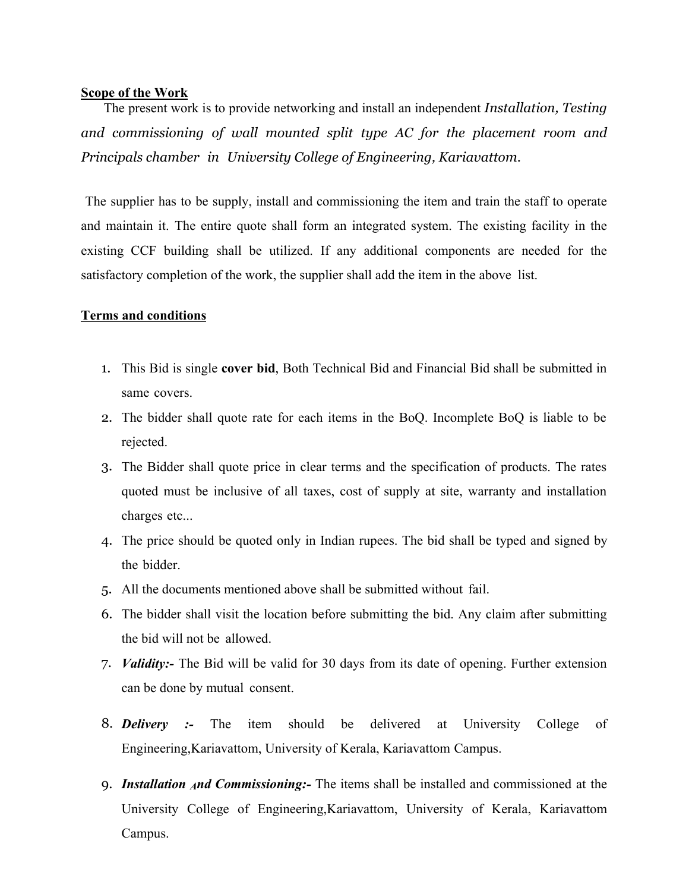#### **Scope of the Work**

The present work is to provide networking and install an independent *Installation, Testing and commissioning of wall mounted split type AC for the placement room and Principals chamber in University College of Engineering, Kariavattom*.

The supplier has to be supply, install and commissioning the item and train the staff to operate and maintain it. The entire quote shall form an integrated system. The existing facility in the existing CCF building shall be utilized. If any additional components are needed for the satisfactory completion of the work, the supplier shall add the item in the above list.

### **Terms and conditions**

- 1. This Bid is single **cover bid**, Both Technical Bid and Financial Bid shall be submitted in same covers.
- 2. The bidder shall quote rate for each items in the BoQ. Incomplete BoQ is liable to be rejected.
- 3. The Bidder shall quote price in clear terms and the specification of products. The rates quoted must be inclusive of all taxes, cost of supply at site, warranty and installation charges etc...
- 4. The price should be quoted only in Indian rupees. The bid shall be typed and signed by the bidder.
- 5. All the documents mentioned above shall be submitted without fail.
- 6. The bidder shall visit the location before submitting the bid. Any claim after submitting the bid will not be allowed.
- 7. *Validity:-* The Bid will be valid for 30 days from its date of opening. Further extension can be done by mutual consent.
- 8. *Delivery :-* The item should be delivered at University College of Engineering,Kariavattom, University of Kerala, Kariavattom Campus.
- 9. *Installation And Commissioning:-* The items shall be installed and commissioned at the University College of Engineering,Kariavattom, University of Kerala, Kariavattom Campus.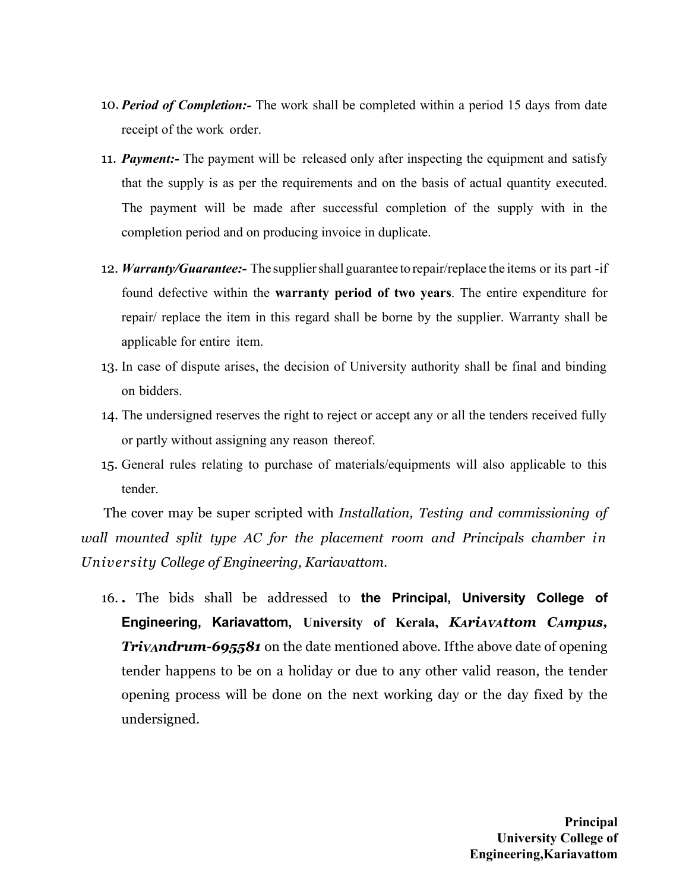- 10. *Period of Completion:-* The work shall be completed within a period 15 days from date receipt of the work order.
- 11. *Payment:-* The payment will be released only after inspecting the equipment and satisfy that the supply is as per the requirements and on the basis of actual quantity executed. The payment will be made after successful completion of the supply with in the completion period and on producing invoice in duplicate.
- 12. *Warranty/Guarantee:-* The suppliershall guarantee to repair/replace the items or its part -if found defective within the **warranty period of two years**. The entire expenditure for repair/ replace the item in this regard shall be borne by the supplier. Warranty shall be applicable for entire item.
- 13. In case of dispute arises, the decision of University authority shall be final and binding on bidders.
- 14. The undersigned reserves the right to reject or accept any or all the tenders received fully or partly without assigning any reason thereof.
- 15. General rules relating to purchase of materials/equipments will also applicable to this tender.

The cover may be super scripted with *Installation, Testing and commissioning of wall mounted split type AC for the placement room and Principals chamber in University College of Engineering, Kariavattom*.

16. *.* The bids shall be addressed to **the Principal, University College of Engineering, Kariavattom, University of Kerala,** *KAriAVAttom CAmpus, TriVAndrum-695581* on the date mentioned above. Ifthe above date of opening tender happens to be on a holiday or due to any other valid reason, the tender opening process will be done on the next working day or the day fixed by the undersigned.